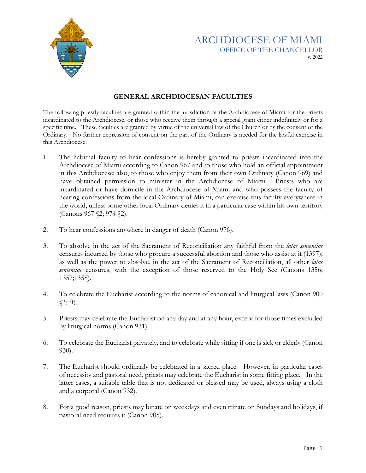

## ARCHDIOCESE OF MIAMI OFFICE OF THE CHANCELLOR v. 2022

## **GENERAL ARCHDIOCESAN FACULTIES**

The following priestly faculties are granted within the jurisdiction of the Archdiocese of Miami for the priests incardinated to the Archdiocese, or those who receive them through a special grant either indefinitely or for a specific time. These faculties are granted by virtue of the universal law of the Church or by the consent of the Ordinary. No further expression of consent on the part of the Ordinary is needed for the lawful exercise in this Archdiocese.

- 1. The habitual faculty to hear confessions is hereby granted to priests incardinated into the Archdiocese of Miami according to Canon 967 and to those who hold an official appointment in this Archdiocese; also, to those who enjoy them from their own Ordinary (Canon 969) and have obtained permission to minister in the Archdiocese of Miami. Priests who are incardinated or have domicile in the Archdiocese of Miami and who possess the faculty of hearing confessions from the local Ordinary of Miami, can exercise this faculty everywhere in the world, unless some other local Ordinary denies it in a particular case within his own territory (Canons 967 §2; 974 §2).
- 2. To hear confessions anywhere in danger of death (Canon 976).
- 3. To absolve in the act of the Sacrament of Reconciliation any faithful from the *latae sententiae* censures incurred by those who procure a successful abortion and those who assist at it (1397); as well as the power to absolve, in the act of the Sacrament of Reconciliation, all other *latae sententiae* censures, with the exception of those reserved to the Holy See (Canons 1356; 1357;1358).
- 4. To celebrate the Eucharist according to the norms of canonical and liturgical laws (Canon 900 §2; ff).
- 5. Priests may celebrate the Eucharist on any day and at any hour, except for those times excluded by liturgical norms (Canon 931).
- 6. To celebrate the Eucharist privately, and to celebrate while sitting if one is sick or elderly (Canon 930).
- 7. The Eucharist should ordinarily be celebrated in a sacred place. However, in particular cases of necessity and pastoral need, priests may celebrate the Eucharist in some fitting place. In the latter cases, a suitable table that is not dedicated or blessed may be used, always using a cloth and a corporal (Canon 932).
- 8. For a good reason, priests may binate on weekdays and even trinate on Sundays and holidays, if pastoral need requires it (Canon 905).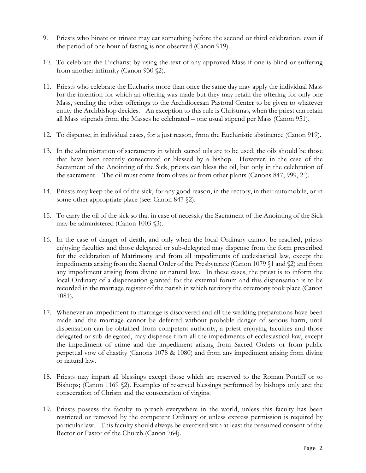- 9. Priests who binate or trinate may eat something before the second or third celebration, even if the period of one hour of fasting is not observed (Canon 919).
- 10. To celebrate the Eucharist by using the text of any approved Mass if one is blind or suffering from another infirmity (Canon 930 §2).
- 11. Priests who celebrate the Eucharist more than once the same day may apply the individual Mass for the intention for which an offering was made but they may retain the offering for only one Mass, sending the other offerings to the Archdiocesan Pastoral Center to be given to whatever entity the Archbishop decides. An exception to this rule is Christmas, when the priest can retain all Mass stipends from the Masses he celebrated – one usual stipend per Mass (Canon 951).
- 12. To dispense, in individual cases, for a just reason, from the Eucharistic abstinence (Canon 919).
- 13. In the administration of sacraments in which sacred oils are to be used, the oils should be those that have been recently consecrated or blessed by a bishop. However, in the case of the Sacrament of the Anointing of the Sick, priests can bless the oil, but only in the celebration of the sacrament. The oil must come from olives or from other plants (Canons 847; 999, 2˚).
- 14. Priests may keep the oil of the sick, for any good reason, in the rectory, in their automobile, or in some other appropriate place (see: Canon 847  $\S$ ).
- 15. To carry the oil of the sick so that in case of necessity the Sacrament of the Anointing of the Sick may be administered (Canon 1003 §3).
- 16. In the case of danger of death, and only when the local Ordinary cannot be reached, priests enjoying faculties and those delegated or sub-delegated may dispense from the form prescribed for the celebration of Matrimony and from all impediments of ecclesiastical law, except the impediments arising from the Sacred Order of the Presbyterate (Canon 1079 §1 and §2) and from any impediment arising from divine or natural law. In these cases, the priest is to inform the local Ordinary of a dispensation granted for the external forum and this dispensation is to be recorded in the marriage register of the parish in which territory the ceremony took place (Canon 1081).
- 17. Whenever an impediment to marriage is discovered and all the wedding preparations have been made and the marriage cannot be deferred without probable danger of serious harm, until dispensation can be obtained from competent authority, a priest enjoying faculties and those delegated or sub-delegated, may dispense from all the impediments of ecclesiastical law, except the impediment of crime and the impediment arising from Sacred Orders or from public perpetual vow of chastity (Canons 1078 & 1080) and from any impediment arising from divine or natural law.
- 18. Priests may impart all blessings except those which are reserved to the Roman Pontiff or to Bishops; (Canon 1169 §2). Examples of reserved blessings performed by bishops only are: the consecration of Chrism and the consecration of virgins.
- 19. Priests possess the faculty to preach everywhere in the world, unless this faculty has been restricted or removed by the competent Ordinary or unless express permission is required by particular law. This faculty should always be exercised with at least the presumed consent of the Rector or Pastor of the Church (Canon 764).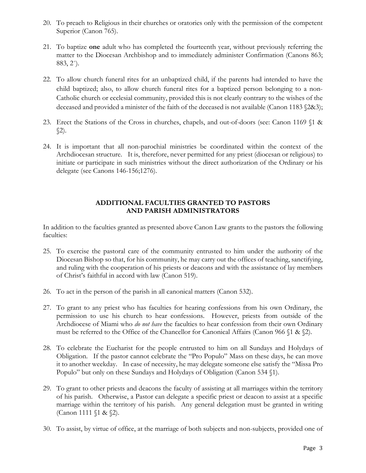- 20. To preach to Religious in their churches or oratories only with the permission of the competent Superior (Canon 765).
- 21. To baptize **one** adult who has completed the fourteenth year, without previously referring the matter to the Diocesan Archbishop and to immediately administer Confirmation (Canons 863; 883, 2˚).
- 22. To allow church funeral rites for an unbaptized child, if the parents had intended to have the child baptized; also, to allow church funeral rites for a baptized person belonging to a non-Catholic church or ecclesial community, provided this is not clearly contrary to the wishes of the deceased and provided a minister of the faith of the deceased is not available (Canon 1183 §2&3);
- 23. Erect the Stations of the Cross in churches, chapels, and out-of-doors (see: Canon 1169 §1 &  $\S2$ ).
- 24. It is important that all non-parochial ministries be coordinated within the context of the Archdiocesan structure. It is, therefore, never permitted for any priest (diocesan or religious) to initiate or participate in such ministries without the direct authorization of the Ordinary or his delegate (see Canons 146-156;1276).

## **ADDITIONAL FACULTIES GRANTED TO PASTORS AND PARISH ADMINISTRATORS**

In addition to the faculties granted as presented above Canon Law grants to the pastors the following faculties:

- 25. To exercise the pastoral care of the community entrusted to him under the authority of the Diocesan Bishop so that, for his community, he may carry out the offices of teaching, sanctifying, and ruling with the cooperation of his priests or deacons and with the assistance of lay members of Christ's faithful in accord with law (Canon 519).
- 26. To act in the person of the parish in all canonical matters (Canon 532).
- 27. To grant to any priest who has faculties for hearing confessions from his own Ordinary, the permission to use his church to hear confessions. However, priests from outside of the Archdiocese of Miami who *do not have* the faculties to hear confession from their own Ordinary must be referred to the Office of the Chancellor for Canonical Affairs (Canon 966 §1 & §2).
- 28. To celebrate the Eucharist for the people entrusted to him on all Sundays and Holydays of Obligation. If the pastor cannot celebrate the "Pro Populo" Mass on these days, he can move it to another weekday. In case of necessity, he may delegate someone else satisfy the "Missa Pro Populo" but only on these Sundays and Holydays of Obligation (Canon 534 §1).
- 29. To grant to other priests and deacons the faculty of assisting at all marriages within the territory of his parish. Otherwise, a Pastor can delegate a specific priest or deacon to assist at a specific marriage within the territory of his parish. Any general delegation must be granted in writing (Canon 1111 §1 & §2).
- 30. To assist, by virtue of office, at the marriage of both subjects and non-subjects, provided one of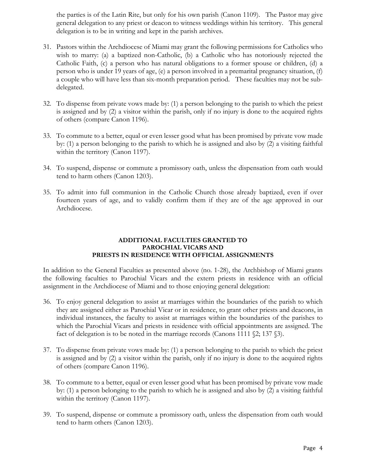the parties is of the Latin Rite, but only for his own parish (Canon 1109). The Pastor may give general delegation to any priest or deacon to witness weddings within his territory. This general delegation is to be in writing and kept in the parish archives.

- 31. Pastors within the Archdiocese of Miami may grant the following permissions for Catholics who wish to marry: (a) a baptized non-Catholic, (b) a Catholic who has notoriously rejected the Catholic Faith, (c) a person who has natural obligations to a former spouse or children, (d) a person who is under 19 years of age, (e) a person involved in a premarital pregnancy situation, (f) a couple who will have less than six-month preparation period. These faculties may not be subdelegated.
- 32. To dispense from private vows made by: (1) a person belonging to the parish to which the priest is assigned and by (2) a visitor within the parish, only if no injury is done to the acquired rights of others (compare Canon 1196).
- 33. To commute to a better, equal or even lesser good what has been promised by private vow made by: (1) a person belonging to the parish to which he is assigned and also by (2) a visiting faithful within the territory (Canon 1197).
- 34. To suspend, dispense or commute a promissory oath, unless the dispensation from oath would tend to harm others (Canon 1203).
- 35. To admit into full communion in the Catholic Church those already baptized, even if over fourteen years of age, and to validly confirm them if they are of the age approved in our Archdiocese.

## **ADDITIONAL FACULTIES GRANTED TO PAROCHIAL VICARS AND PRIESTS IN RESIDENCE WITH OFFICIAL ASSIGNMENTS**

In addition to the General Faculties as presented above (no. 1-28), the Archbishop of Miami grants the following faculties to Parochial Vicars and the extern priests in residence with an official assignment in the Archdiocese of Miami and to those enjoying general delegation:

- 36. To enjoy general delegation to assist at marriages within the boundaries of the parish to which they are assigned either as Parochial Vicar or in residence, to grant other priests and deacons, in individual instances, the faculty to assist at marriages within the boundaries of the parishes to which the Parochial Vicars and priests in residence with official appointments are assigned. The fact of delegation is to be noted in the marriage records (Canons 1111 §2; 137 §3).
- 37. To dispense from private vows made by: (1) a person belonging to the parish to which the priest is assigned and by (2) a visitor within the parish, only if no injury is done to the acquired rights of others (compare Canon 1196).
- 38. To commute to a better, equal or even lesser good what has been promised by private vow made by: (1) a person belonging to the parish to which he is assigned and also by (2) a visiting faithful within the territory (Canon 1197).
- 39. To suspend, dispense or commute a promissory oath, unless the dispensation from oath would tend to harm others (Canon 1203).